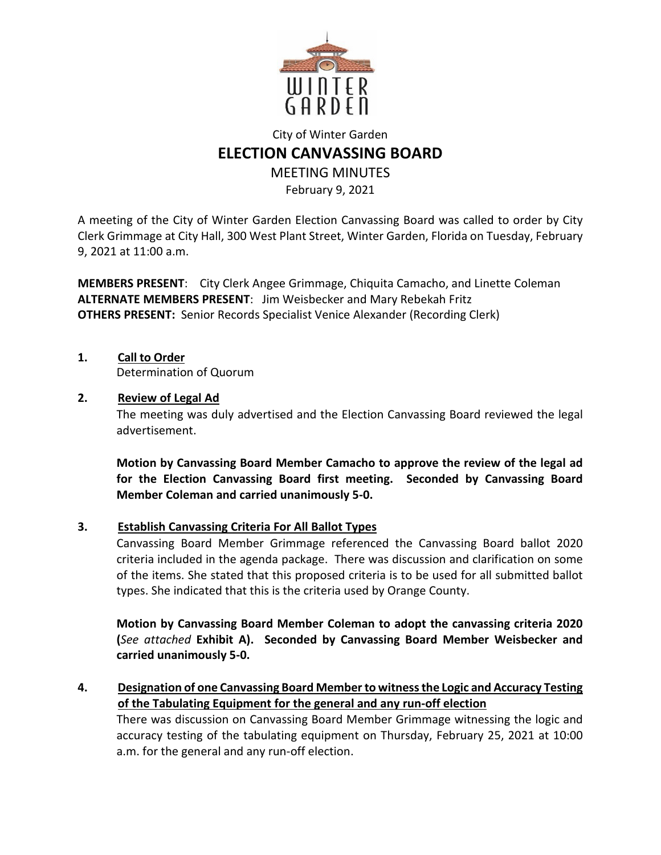

# City of Winter Garden **ELECTION CANVASSING BOARD**

# MEETING MINUTES

February 9, 2021

A meeting of the City of Winter Garden Election Canvassing Board was called to order by City Clerk Grimmage at City Hall, 300 West Plant Street, Winter Garden, Florida on Tuesday, February 9, 2021 at 11:00 a.m.

**MEMBERS PRESENT**: City Clerk Angee Grimmage, Chiquita Camacho, and Linette Coleman **ALTERNATE MEMBERS PRESENT**: Jim Weisbecker and Mary Rebekah Fritz **OTHERS PRESENT:** Senior Records Specialist Venice Alexander (Recording Clerk)

**1. Call to Order** 

Determination of Quorum

# **2. Review of Legal Ad**

The meeting was duly advertised and the Election Canvassing Board reviewed the legal advertisement.

**Motion by Canvassing Board Member Camacho to approve the review of the legal ad for the Election Canvassing Board first meeting. Seconded by Canvassing Board Member Coleman and carried unanimously 5-0.** 

## **3. Establish Canvassing Criteria For All Ballot Types**

Canvassing Board Member Grimmage referenced the Canvassing Board ballot 2020 criteria included in the agenda package. There was discussion and clarification on some of the items. She stated that this proposed criteria is to be used for all submitted ballot types. She indicated that this is the criteria used by Orange County.

**Motion by Canvassing Board Member Coleman to adopt the canvassing criteria 2020 (***See attached* **Exhibit A). Seconded by Canvassing Board Member Weisbecker and carried unanimously 5-0.** 

**4. Designation of one Canvassing Board Member to witness the Logic and Accuracy Testing of the Tabulating Equipment for the general and any run-off election** 

There was discussion on Canvassing Board Member Grimmage witnessing the logic and accuracy testing of the tabulating equipment on Thursday, February 25, 2021 at 10:00 a.m. for the general and any run-off election.